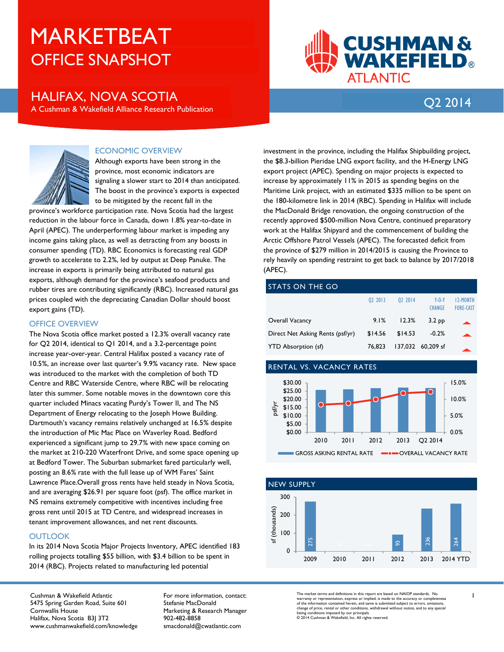# OFFICE SNAPSHOT MARKETBEAT

## Q2 <sup>2014</sup> HALIFAX, NOVA SCOTIA A Cushman & Wakefield Alliance Research Publication

**CUSHMAN & WAKEFIELD**®



### ECONOMIC OVERVIEW

Although exports have been strong in the province, most economic indicators are signaling a slower start to 2014 than anticipated. The boost in the province's exports is expected to be mitigated by the recent fall in the

province's workforce participation rate. Nova Scotia had the largest reduction in the labour force in Canada, down 1.8% year-to-date in April (APEC). The underperforming labour market is impeding any income gains taking place, as well as detracting from any boosts in consumer spending (TD). RBC Economics is forecasting real GDP growth to accelerate to 2.2%, led by output at Deep Panuke. The increase in exports is primarily being attributed to natural gas exports, although demand for the province's seafood products and rubber tires are contributing significantly (RBC). Increased natural gas prices coupled with the depreciating Canadian Dollar should boost export gains (TD).

#### OFFICE OVERVIEW

The Nova Scotia office market posted a 12.3% overall vacancy rate for Q2 2014, identical to Q1 2014, and a 3.2-percentage point increase year-over-year. Central Halifax posted a vacancy rate of 10.5%, an increase over last quarter's 9.9% vacancy rate. New space was introduced to the market with the completion of both TD Centre and RBC Waterside Centre, where RBC will be relocating later this summer. Some notable moves in the downtown core this quarter included Minacs vacating Purdy's Tower II, and The NS Department of Energy relocating to the Joseph Howe Building. Dartmouth's vacancy remains relatively unchanged at 16.5% despite the introduction of Mic Mac Place on Waverley Road. Bedford experienced a significant jump to 29.7% with new space coming on the market at 210-220 Waterfront Drive, and some space opening up at Bedford Tower. The Suburban submarket fared particularly well, posting an 8.6% rate with the full lease up of WM Fares' Saint Lawrence Place.Overall gross rents have held steady in Nova Scotia, and are averaging \$26.91 per square foot (psf). The office market in NS remains extremely competitive with incentives including free gross rent until 2015 at TD Centre, and widespread increases in tenant improvement allowances, and net rent discounts.

#### **OUTLOOK**

In its 2014 Nova Scotia Major Projects Inventory, APEC identified 183 rolling projects totalling \$55 billion, with \$3.4 billion to be spent in 2014 (RBC). Projects related to manufacturing led potential

Cushman & Wakefield Atlantic 5475 Spring Garden Road, Suite 601 Cornwallis House Halifax, Nova Scotia B3J 3T2 www.cushmanwakefield.com/knowledge For more information, contact: Stefanie MacDonald Marketing & Research Manager 902-482-8858 smacdonald@cwatlantic.com

investment in the province, including the Halifax Shipbuilding project, the \$8.3-billion Pieridae LNG export facility, and the H-Energy LNG export project (APEC). Spending on major projects is expected to increase by approximately 11% in 2015 as spending begins on the Maritime Link project, with an estimated \$335 million to be spent on the 180-kilometre link in 2014 (RBC). Spending in Halifax will include the MacDonald Bridge renovation, the ongoing construction of the recently approved \$500-million Nova Centre, continued preparatory work at the Halifax Shipyard and the commencement of building the Arctic Offshore Patrol Vessels (APEC). The forecasted deficit from the province of \$279 million in 2014/2015 is causing the Province to rely heavily on spending restraint to get back to balance by 2017/2018 (APEC).

**ATLANTIC** 

#### STATS ON THE GO

|                                  | 02 2013 | 02 2014 | $Y - 0 - Y$<br><b>CHANGE</b> | <b>12-MONTH</b><br><b>FORE-CAST</b> |
|----------------------------------|---------|---------|------------------------------|-------------------------------------|
| <b>Overall Vacancy</b>           | 9.1%    | 12.3%   | 3.2 <sub>pp</sub>            |                                     |
| Direct Net Asking Rents (psf/yr) | \$14.56 | \$14.53 | $-0.2%$                      |                                     |
| <b>YTD Absorption (sf)</b>       | 76.823  |         | 137,032 60,209 sf            |                                     |

#### RENTAL VS. VACANCY RATES





The market terms and definitions in this report are based on NAIOP standards. No warranty or representation, express or implied, is made to the accuracy or completeness<br>of the information contained herein, and same is submitted subject to errors, omissions,<br>Insting conditions imposed by our principals.